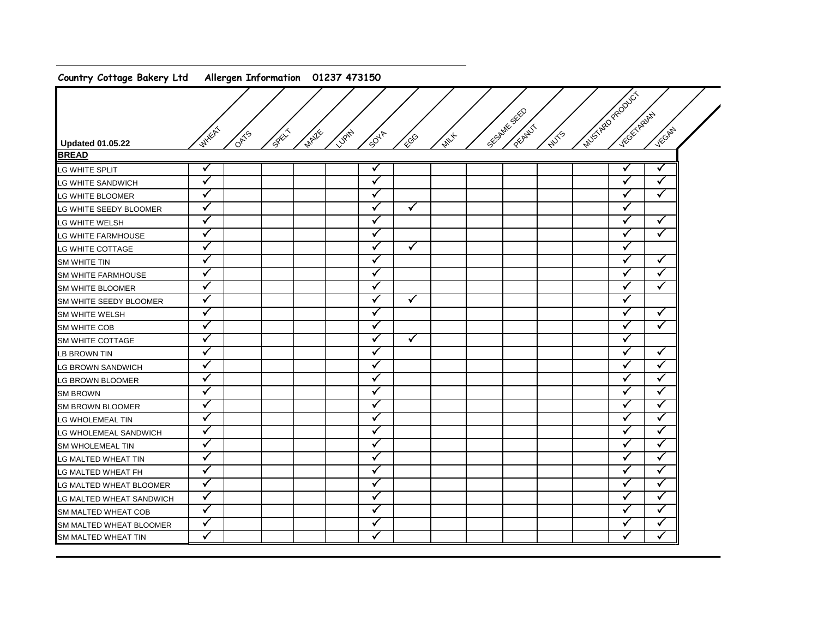## **Country Cottage Bakery Ltd Allergen Information 01237 473150**

|                                |                    |                               |               |               |              |             |              |             | Matica Report |                      |              |
|--------------------------------|--------------------|-------------------------------|---------------|---------------|--------------|-------------|--------------|-------------|---------------|----------------------|--------------|
|                                |                    |                               |               |               |              |             | SECRANE SEED |             |               | Victor Review        |              |
|                                | WHEAT              |                               |               |               |              |             |              | PECANIL     |               |                      | VECANY       |
| <b>Updated 01.05.22</b>        |                    | <b>Section</b><br><b>OATS</b> | <b>MAILES</b> | LUBIN<br>5047 | <b>EGG</b>   | <b>PANY</b> |              | <b>WITS</b> |               |                      |              |
| <b>BREAD</b>                   |                    |                               |               |               |              |             |              |             |               |                      |              |
| LG WHITE SPLIT                 | $\checkmark$       |                               |               | v             |              |             |              |             | √             |                      | ✓            |
| LG WHITE SANDWICH              | $\checkmark$       |                               |               | ✓             |              |             |              |             |               | ✓                    | ✓            |
| LG WHITE BLOOMER               | $\checkmark$       |                               |               | ✓             |              |             |              |             |               | ✓                    | $\checkmark$ |
| LG WHITE SEEDY BLOOMER         | $\checkmark$       |                               |               | $\checkmark$  | $\checkmark$ |             |              |             |               | ✓                    |              |
| LG WHITE WELSH                 | $\checkmark$       |                               |               | $\checkmark$  |              |             |              |             |               | ✓                    | $\checkmark$ |
| <b>LG WHITE FARMHOUSE</b>      | $\checkmark$       |                               |               | √             |              |             |              |             |               | ✓                    | $\checkmark$ |
| LG WHITE COTTAGE               | $\checkmark$       |                               |               | ✓             | $\checkmark$ |             |              |             |               | ✓                    |              |
| SM WHITE TIN                   | ✓                  |                               |               | ✓             |              |             |              |             |               | ✓                    | ✓            |
| SM WHITE FARMHOUSE             | $\checkmark$       |                               |               | ✓             |              |             |              |             |               | ✓                    | ✓            |
| SM WHITE BLOOMER               | $\checkmark$       |                               |               | ✓             |              |             |              |             |               | ✓                    | ✓            |
| SM WHITE SEEDY BLOOMER         | $\checkmark$       |                               |               | ✓             | $\checkmark$ |             |              |             |               | ✓                    |              |
| <b>SM WHITE WELSH</b>          | $\mathbf{\hat{v}}$ |                               |               | √             |              |             |              |             |               | ✓                    | ✓            |
| <b>SM WHITE COB</b>            | $\checkmark$       |                               |               | ✓             |              |             |              |             |               | ✓                    | ✓            |
| SM WHITE COTTAGE               | $\checkmark$       |                               |               | ✓             | $\checkmark$ |             |              |             |               | ✓                    |              |
| <b>LB BROWN TIN</b>            | $\checkmark$       |                               |               | v             |              |             |              |             |               | ✓                    | ✓            |
| <b>LG BROWN SANDWICH</b>       | $\checkmark$       |                               |               | v             |              |             |              |             |               | ✓                    | $\checkmark$ |
| <b>LG BROWN BLOOMER</b>        | $\checkmark$       |                               |               | ✓             |              |             |              |             |               | ✓                    | $\checkmark$ |
| <b>SM BROWN</b>                | $\checkmark$       |                               |               | ✓             |              |             |              |             |               | ✓                    | $\checkmark$ |
| <b>SM BROWN BLOOMER</b>        | $\checkmark$       |                               |               | $\checkmark$  |              |             |              |             |               | $\tilde{\mathbf{v}}$ | $\checkmark$ |
| <b>LG WHOLEMEAL TIN</b>        | $\checkmark$       |                               |               | √             |              |             |              |             |               | ✓                    | ✓            |
| LG WHOLEMEAL SANDWICH          | $\checkmark$       |                               |               | ✓             |              |             |              |             |               | ✓                    | $\checkmark$ |
| <b>SM WHOLEMEAL TIN</b>        | $\checkmark$       |                               |               | ✓             |              |             |              |             |               | ✓                    | ✓            |
| LG MALTED WHEAT TIN            | ✓                  |                               |               | ✓             |              |             |              |             |               | ✓                    | ✓            |
| LG MALTED WHEAT FH             | $\checkmark$       |                               |               | √             |              |             |              |             |               | ✓                    | ✓            |
| LG MALTED WHEAT BLOOMER        | $\checkmark$       |                               |               | ✓             |              |             |              |             |               | ✓                    | ✓            |
| LG MALTED WHEAT SANDWICH       | $\checkmark$       |                               |               | $\checkmark$  |              |             |              |             |               | ✓                    | ✓            |
| <b>SM MALTED WHEAT COB</b>     | $\checkmark$       |                               |               | ✓             |              |             |              |             |               | ✓                    | ✓            |
| <b>SM MALTED WHEAT BLOOMER</b> | $\checkmark$       |                               |               | ✓             |              |             |              |             |               | ✓                    | ✓            |
| SM MALTED WHEAT TIN            | $\checkmark$       |                               |               | ✓             |              |             |              |             |               | ✓                    | ✓            |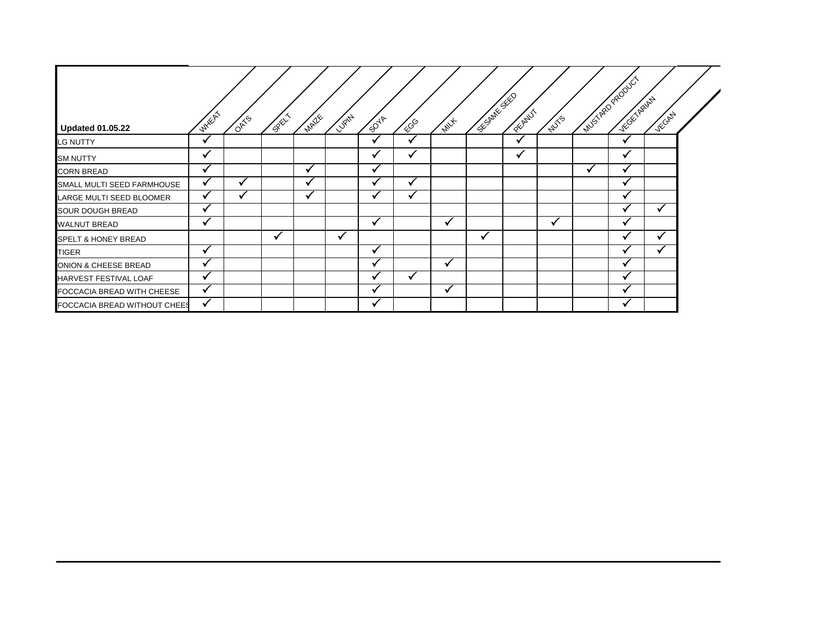| <b>Updated 01.05.22</b>        | <b>WHEAT</b>             | ORTS | CREW | <b>MAILE</b> | LUPITY | 5047   | ECG                  | $\overline{\psi}_{\mathscr{U}_{\mathcal{F}}}$ | <b>SECRITE SEE</b> | PEEPLY | <b>NUTS</b> |    | interpretacional<br>YE GET ASIAN | VECAN |  |
|--------------------------------|--------------------------|------|------|--------------|--------|--------|----------------------|-----------------------------------------------|--------------------|--------|-------------|----|----------------------------------|-------|--|
| <b>LG NUTTY</b>                | v                        |      |      |              |        | v      | $\ddot{\phantom{1}}$ |                                               |                    |        |             |    | v                                |       |  |
| <b>SM NUTTY</b>                | v                        |      |      |              |        | v      | v                    |                                               |                    |        |             |    | ✔                                |       |  |
| <b>CORN BREAD</b>              | √                        |      |      | ✔            |        | v      |                      |                                               |                    |        |             | ิ์ | ✔                                |       |  |
| SMALL MULTI SEED FARMHOUSE     | v                        | 丷    |      | v            |        |        | $\checkmark$         |                                               |                    |        |             |    | w                                |       |  |
| LARGE MULTI SEED BLOOMER       | ✔                        | 丷    |      | v            |        | $\sim$ | v                    |                                               |                    |        |             |    |                                  |       |  |
| <b>SOUR DOUGH BREAD</b>        | √                        |      |      |              |        |        |                      |                                               |                    |        |             |    | $\ddot{}$                        | v     |  |
| <b>WALNUT BREAD</b>            | ✔                        |      |      |              |        | √      |                      | ✔                                             |                    |        | ✔           |    | w                                |       |  |
| <b>SPELT &amp; HONEY BREAD</b> |                          |      | √    |              | ✔      |        |                      |                                               | v                  |        |             |    | M                                | v     |  |
| TIGER                          | $\overline{\phantom{a}}$ |      |      |              |        |        |                      |                                               |                    |        |             |    |                                  |       |  |
| ONION & CHEESE BREAD           | ✔                        |      |      |              |        |        |                      |                                               |                    |        |             |    |                                  |       |  |
| HARVEST FESTIVAL LOAF          | M                        |      |      |              |        |        |                      |                                               |                    |        |             |    |                                  |       |  |
| FOCCACIA BREAD WITH CHEESE     | √                        |      |      |              |        |        |                      |                                               |                    |        |             |    |                                  |       |  |
| FOCCACIA BREAD WITHOUT CHEES   | ✔                        |      |      |              |        |        |                      |                                               |                    |        |             |    |                                  |       |  |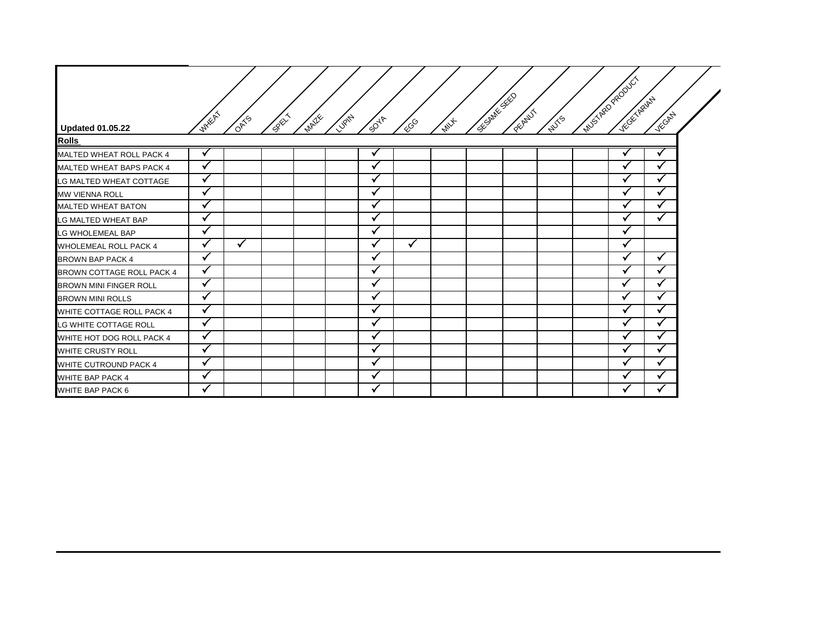|                                 | <b>WHEAT</b> |              |       |                               |              |      |             | SC-SMITTE SEED | <b>PECANI</b> |             | IMUSTARD PRODUCT | YEGETARIAN | VECAN        |
|---------------------------------|--------------|--------------|-------|-------------------------------|--------------|------|-------------|----------------|---------------|-------------|------------------|------------|--------------|
| <b>Updated 01.05.22</b>         |              | <b>OATS</b>  | SRELY | <b>MAILE</b><br><b>LURITY</b> | 5047         | FCGG | <b>MILL</b> |                |               | <b>NUTS</b> |                  |            |              |
| <b>Rolls</b>                    |              |              |       |                               |              |      |             |                |               |             |                  |            |              |
| <b>MALTED WHEAT ROLL PACK 4</b> | $\checkmark$ |              |       |                               |              |      |             |                |               |             |                  |            |              |
| MALTED WHEAT BAPS PACK 4        | $\checkmark$ |              |       |                               | $\checkmark$ |      |             |                |               |             |                  | √          | $\checkmark$ |
| LG MALTED WHEAT COTTAGE         | $\checkmark$ |              |       |                               |              |      |             |                |               |             |                  | V          | $\checkmark$ |
| MW VIENNA ROLL                  | $\checkmark$ |              |       |                               |              |      |             |                |               |             |                  | √          |              |
| <b>MALTED WHEAT BATON</b>       | $\checkmark$ |              |       |                               |              |      |             |                |               |             |                  |            | $\checkmark$ |
| LG MALTED WHEAT BAP             | $\checkmark$ |              |       |                               |              |      |             |                |               |             |                  |            | $\checkmark$ |
| LG WHOLEMEAL BAP                | $\checkmark$ |              |       |                               |              |      |             |                |               |             |                  | √          |              |
| WHOLEMEAL ROLL PACK 4           |              | $\checkmark$ |       |                               |              |      |             |                |               |             |                  |            |              |
| <b>BROWN BAP PACK 4</b>         | $\checkmark$ |              |       |                               |              |      |             |                |               |             |                  |            | √            |
| BROWN COTTAGE ROLL PACK 4       | $\checkmark$ |              |       |                               |              |      |             |                |               |             |                  |            | $\checkmark$ |
| BROWN MINI FINGER ROLL          | $\checkmark$ |              |       |                               |              |      |             |                |               |             |                  | v          | $\mathbf{v}$ |
| <b>BROWN MINI ROLLS</b>         | $\checkmark$ |              |       |                               |              |      |             |                |               |             |                  | v          | M            |
| WHITE COTTAGE ROLL PACK 4       | √            |              |       |                               |              |      |             |                |               |             |                  |            |              |
| LG WHITE COTTAGE ROLL           | √            |              |       |                               |              |      |             |                |               |             |                  |            |              |
| WHITE HOT DOG ROLL PACK 4       |              |              |       |                               |              |      |             |                |               |             |                  |            |              |
| WHITE CRUSTY ROLL               |              |              |       |                               |              |      |             |                |               |             |                  |            |              |
| WHITE CUTROUND PACK 4           |              |              |       |                               |              |      |             |                |               |             |                  |            |              |
| WHITE BAP PACK 4                | $\checkmark$ |              |       |                               | $\checkmark$ |      |             |                |               |             |                  |            | $\checkmark$ |
| WHITE BAP PACK 6                | ✓            |              |       |                               |              |      |             |                |               |             |                  | ✓          | ✓            |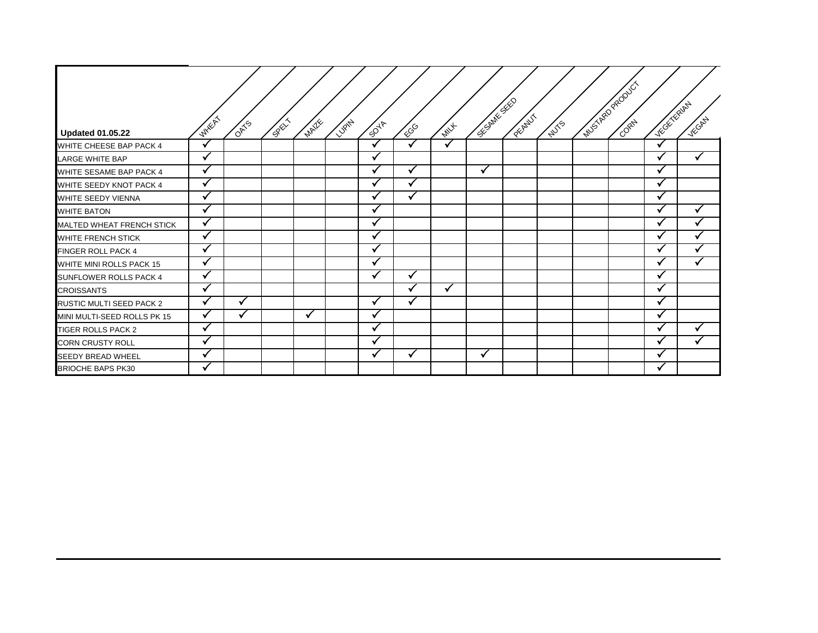| <b>Updated 01.05.22</b>          | WHEAT                | <b>OATS</b> | <b>CREW</b> | MAZIE | LUBITAL | $\mathcal{P}^{\mathcal{A}^{\mathcal{P}}}$ | ECG          | <b>MILL</b> | SECRITE SEC | PECANILI | <b>NUTS</b> | Muschel Road Ct | Victor Ruhy  | Vicchel |
|----------------------------------|----------------------|-------------|-------------|-------|---------|-------------------------------------------|--------------|-------------|-------------|----------|-------------|-----------------|--------------|---------|
| WHITE CHEESE BAP PACK 4          |                      |             |             |       |         | √                                         | $\mathbf{v}$ |             |             |          |             |                 | $\checkmark$ |         |
| <b>LARGE WHITE BAP</b>           | $\checkmark$         |             |             |       |         |                                           |              |             |             |          |             |                 |              | ✓       |
| WHITE SESAME BAP PACK 4          | $\ddot{\phantom{1}}$ |             |             |       |         |                                           | v            |             | ✓           |          |             |                 | v            |         |
| WHITE SEEDY KNOT PACK 4          | $\checkmark$         |             |             |       |         |                                           |              |             |             |          |             |                 | $\checkmark$ |         |
| WHITE SEEDY VIENNA               | $\mathbf{v}$         |             |             |       |         |                                           |              |             |             |          |             |                 |              |         |
| <b>WHITE BATON</b>               | $\sim$               |             |             |       |         | $\ddot{\phantom{1}}$                      |              |             |             |          |             |                 |              |         |
| <b>MALTED WHEAT FRENCH STICK</b> | M                    |             |             |       |         |                                           |              |             |             |          |             |                 |              |         |
| WHITE FRENCH STICK               | $\checkmark$         |             |             |       |         |                                           |              |             |             |          |             |                 |              |         |
| FINGER ROLL PACK 4               | $\checkmark$         |             |             |       |         | v                                         |              |             |             |          |             |                 | √            |         |
| WHITE MINI ROLLS PACK 15         |                      |             |             |       |         |                                           |              |             |             |          |             |                 |              |         |
| SUNFLOWER ROLLS PACK 4           | $\mathbf{v}$         |             |             |       |         |                                           | √            |             |             |          |             |                 |              |         |
| <b>CROISSANTS</b>                |                      |             |             |       |         |                                           |              |             |             |          |             |                 |              |         |
| RUSTIC MULTI SEED PACK 2         |                      |             |             |       |         |                                           |              |             |             |          |             |                 |              |         |
| MINI MULTI-SEED ROLLS PK 15      | V                    | ✔           |             | √     |         | M                                         |              |             |             |          |             |                 | ✔            |         |
| TIGER ROLLS PACK 2               |                      |             |             |       |         |                                           |              |             |             |          |             |                 |              | ✓       |
| <b>CORN CRUSTY ROLL</b>          | $\mathbf{v}$         |             |             |       |         |                                           |              |             |             |          |             |                 |              | ✓       |
| SEEDY BREAD WHEEL                | $\checkmark$         |             |             |       |         | v                                         | ✔            |             | ✓           |          |             |                 | v            |         |
| <b>BRIOCHE BAPS PK30</b>         |                      |             |             |       |         |                                           |              |             |             |          |             |                 |              |         |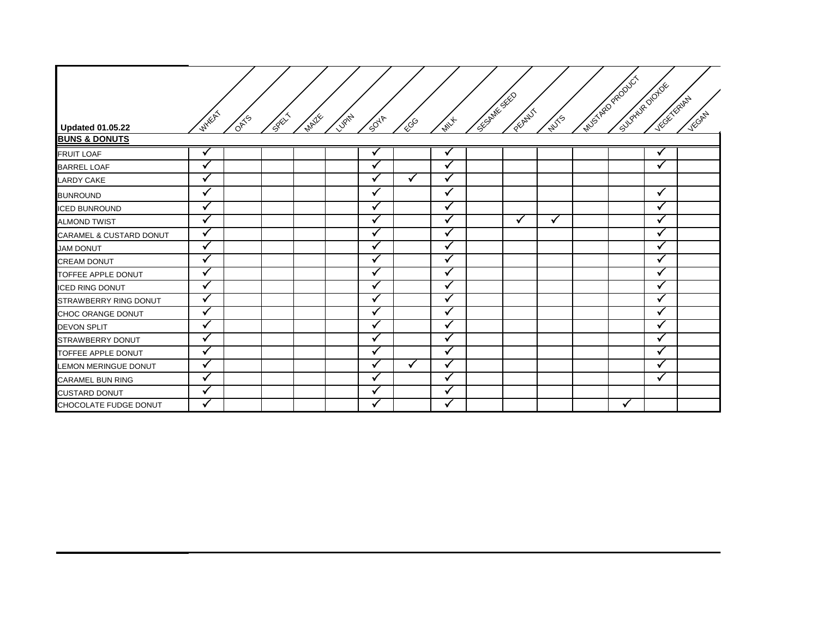| <b>Updated 01.05.22</b>            | <b>WHEAT</b> | <b>OATS</b> | <b>SREAM</b> | <b>MATE</b> | <b>VIOLT</b> | $\tilde{g}^{\tilde{Q}^{\tilde{\Psi}}}$ | ECG          | <b>MILL</b>  | SE-SMITH SEED | PECANIL | <b>WISS</b> | MUSTAR PRODUCT<br>SUPPLIE DONDE | Victor Repair | VECAN |
|------------------------------------|--------------|-------------|--------------|-------------|--------------|----------------------------------------|--------------|--------------|---------------|---------|-------------|---------------------------------|---------------|-------|
| <b>BUNS &amp; DONUTS</b>           |              |             |              |             |              |                                        |              |              |               |         |             |                                 |               |       |
| <b>FRUIT LOAF</b>                  | v            |             |              |             |              | $\overline{\mathbf{u}}$                |              | √            |               |         |             |                                 | V             |       |
| <b>BARREL LOAF</b>                 | ✓            |             |              |             |              |                                        |              | v            |               |         |             |                                 | $\checkmark$  |       |
| <b>LARDY CAKE</b>                  | ✓            |             |              |             |              |                                        | $\checkmark$ |              |               |         |             |                                 |               |       |
| <b>BUNROUND</b>                    | $\checkmark$ |             |              |             |              |                                        |              | $\checkmark$ |               |         |             |                                 | $\checkmark$  |       |
| <b>ICED BUNROUND</b>               | $\checkmark$ |             |              |             |              |                                        |              |              |               |         |             |                                 |               |       |
| <b>ALMOND TWIST</b>                | v            |             |              |             |              |                                        |              |              |               |         | √           |                                 |               |       |
| <b>CARAMEL &amp; CUSTARD DONUT</b> | v            |             |              |             |              |                                        |              | v            |               |         |             |                                 | $\ddot{ }$    |       |
| <b>JAM DONUT</b>                   | v            |             |              |             |              |                                        |              |              |               |         |             |                                 |               |       |
| <b>CREAM DONUT</b>                 | $\checkmark$ |             |              |             |              | √                                      |              | ✓            |               |         |             |                                 |               |       |
| TOFFEE APPLE DONUT                 | $\checkmark$ |             |              |             |              | $\checkmark$                           |              | $\checkmark$ |               |         |             |                                 | √             |       |
| <b>ICED RING DONUT</b>             | $\checkmark$ |             |              |             |              |                                        |              | $\checkmark$ |               |         |             |                                 | $\checkmark$  |       |
| STRAWBERRY RING DONUT              | ✓            |             |              |             |              |                                        |              |              |               |         |             |                                 |               |       |
| CHOC ORANGE DONUT                  | $\checkmark$ |             |              |             |              |                                        |              | v            |               |         |             |                                 |               |       |
| <b>DEVON SPLIT</b>                 | v            |             |              |             |              |                                        |              |              |               |         |             |                                 |               |       |
| STRAWBERRY DONUT                   | ✓            |             |              |             |              |                                        |              | $\checkmark$ |               |         |             |                                 |               |       |
| TOFFEE APPLE DONUT                 | $\checkmark$ |             |              |             |              | √                                      |              | $\checkmark$ |               |         |             |                                 | ✔             |       |
| <b>LEMON MERINGUE DONUT</b>        | Ń            |             |              |             |              |                                        | $\checkmark$ |              |               |         |             |                                 |               |       |
| <b>CARAMEL BUN RING</b>            | $\checkmark$ |             |              |             |              |                                        |              | v            |               |         |             |                                 | $\checkmark$  |       |
| <b>CUSTARD DONUT</b>               | v            |             |              |             |              |                                        |              |              |               |         |             |                                 |               |       |
| CHOCOLATE FUDGE DONUT              | M            |             |              |             |              |                                        |              |              |               |         |             |                                 |               |       |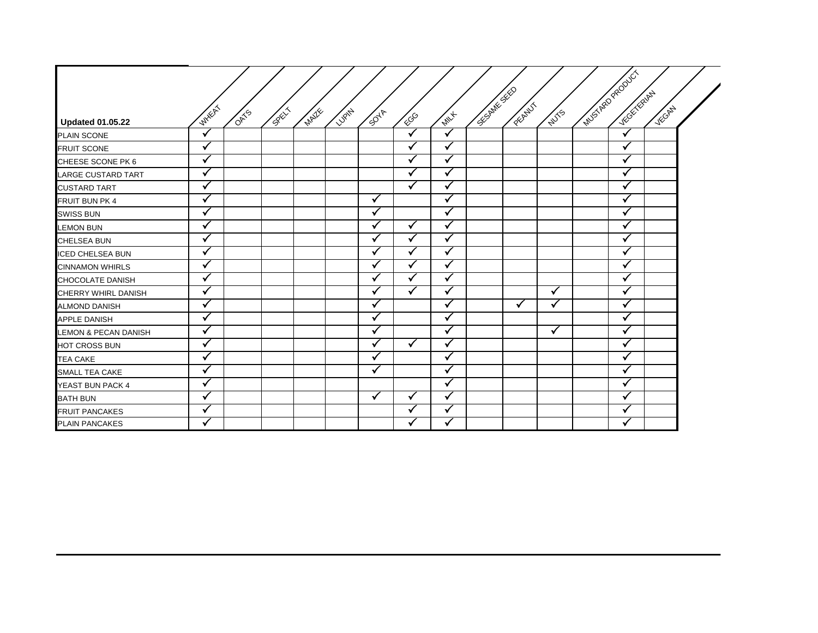|                                 |                      |             |                |              |        |              |              |              | <b>SECRET SECTION</b> |               |              | Musike Paddict     |        |  |
|---------------------------------|----------------------|-------------|----------------|--------------|--------|--------------|--------------|--------------|-----------------------|---------------|--------------|--------------------|--------|--|
|                                 |                      |             |                |              |        |              |              |              |                       |               |              | <b>INTERNATION</b> |        |  |
| <b>Updated 01.05.22</b>         | <b>WHERE</b>         | <b>OMTS</b> | <b>CONTROL</b> | <b>MAILE</b> | LUSARY | <b>SOUT</b>  | <b>COD</b>   | <b>MILL</b>  |                       | <b>PECANT</b> | <b>NUTS</b>  |                    | VECANY |  |
| <b>PLAIN SCONE</b>              | $\ddot{\phantom{0}}$ |             |                |              |        |              | $\mathbf{v}$ |              |                       |               |              | $\checkmark$       |        |  |
| <b>FRUIT SCONE</b>              | $\checkmark$         |             |                |              |        |              | ✓            | ✓            |                       |               |              | ✓                  |        |  |
| CHEESE SCONE PK 6               |                      |             |                |              |        |              |              | ✓            |                       |               |              | $\checkmark$       |        |  |
| LARGE CUSTARD TART              | $\checkmark$         |             |                |              |        |              | $\checkmark$ | ✓            |                       |               |              | $\checkmark$       |        |  |
| <b>CUSTARD TART</b>             | ✓                    |             |                |              |        |              | ✓            | ✓            |                       |               |              | ✓                  |        |  |
| FRUIT BUN PK 4                  | V                    |             |                |              |        | √            |              |              |                       |               |              |                    |        |  |
| <b>SWISS BUN</b>                | ✓                    |             |                |              |        | √            |              | $\checkmark$ |                       |               |              | ✓                  |        |  |
| <b>LEMON BUN</b>                | $\checkmark$         |             |                |              |        |              | ✓            | $\checkmark$ |                       |               |              |                    |        |  |
| CHELSEA BUN                     | ✔                    |             |                |              |        | √            | √            | $\checkmark$ |                       |               |              | $\checkmark$       |        |  |
| <b>ICED CHELSEA BUN</b>         | $\checkmark$         |             |                |              |        |              |              | ✓            |                       |               |              | ✓                  |        |  |
| <b>CINNAMON WHIRLS</b>          | $\checkmark$         |             |                |              |        | $\checkmark$ | ✓            | $\checkmark$ |                       |               |              |                    |        |  |
| CHOCOLATE DANISH                | √                    |             |                |              |        |              |              | ✓            |                       |               |              |                    |        |  |
| CHERRY WHIRL DANISH             | √                    |             |                |              |        |              | ✓            |              |                       |               | √            | ✓                  |        |  |
| <b>ALMOND DANISH</b>            | $\checkmark$         |             |                |              |        | ✓            |              | ✓            |                       | $\checkmark$  | $\checkmark$ | ✓                  |        |  |
| <b>APPLE DANISH</b>             | $\checkmark$         |             |                |              |        |              |              |              |                       |               |              |                    |        |  |
| <b>LEMON &amp; PECAN DANISH</b> | $\checkmark$         |             |                |              |        | √            |              | $\checkmark$ |                       |               |              | ✓                  |        |  |
| HOT CROSS BUN                   |                      |             |                |              |        | ✓            | $\checkmark$ | ✓            |                       |               |              | √                  |        |  |
| TEA CAKE                        | $\checkmark$         |             |                |              |        | √            |              | $\checkmark$ |                       |               |              | $\checkmark$       |        |  |
| SMALL TEA CAKE                  | $\checkmark$         |             |                |              |        | ✓            |              | $\checkmark$ |                       |               |              | ✓                  |        |  |
| YEAST BUN PACK 4                | $\ddot{\phantom{1}}$ |             |                |              |        |              |              |              |                       |               |              |                    |        |  |
| <b>BATH BUN</b>                 | ✓                    |             |                |              |        | $\checkmark$ | $\checkmark$ | $\checkmark$ |                       |               |              | $\checkmark$       |        |  |
| FRUIT PANCAKES                  | $\checkmark$         |             |                |              |        |              |              |              |                       |               |              |                    |        |  |
| <b>PLAIN PANCAKES</b>           | √                    |             |                |              |        |              | √            | $\checkmark$ |                       |               |              | $\checkmark$       |        |  |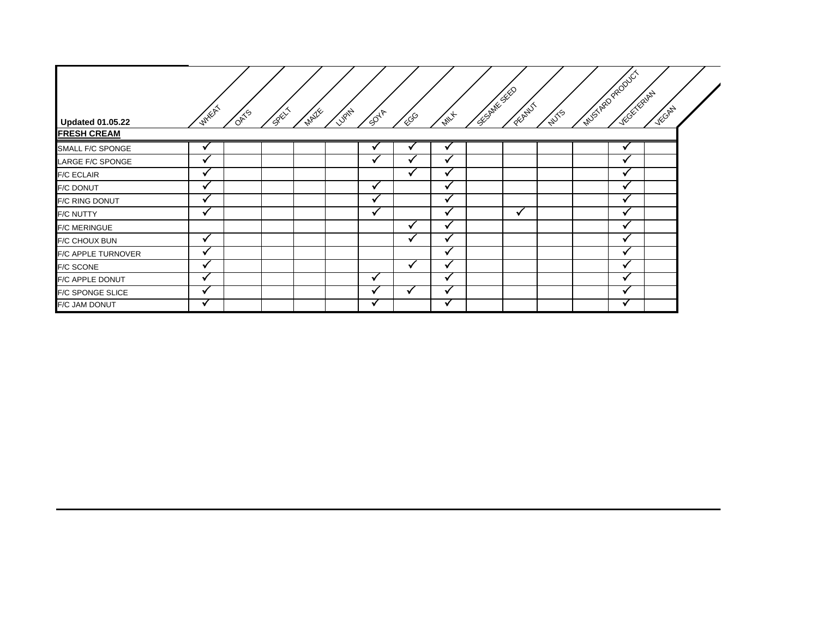| <b>Updated 01.05.22</b>   | <b>WHEAT</b>             | <b>ORTS</b> | SRL | <b>MAILE</b> | <b>LUPITA</b><br>5047 | 600                      | $\overline{\phi_{W_{\mathcal{F}}}}$ | CEOMIL SECTION | <b>PEART</b> | <b>WITS</b> | INVENTION DONC<br>TECH ERIPY | VEGAL |  |
|---------------------------|--------------------------|-------------|-----|--------------|-----------------------|--------------------------|-------------------------------------|----------------|--------------|-------------|------------------------------|-------|--|
| <b>FRESH CREAM</b>        |                          |             |     |              |                       |                          |                                     |                |              |             |                              |       |  |
| SMALL F/C SPONGE          |                          |             |     |              |                       |                          |                                     |                |              |             |                              |       |  |
| LARGE F/C SPONGE          | M                        |             |     |              |                       |                          |                                     |                |              |             |                              |       |  |
| <b>F/C ECLAIR</b>         | $\overline{\mathbf{u}}$  |             |     |              |                       |                          |                                     |                |              |             |                              |       |  |
| F/C DONUT                 |                          |             |     |              |                       |                          |                                     |                |              |             |                              |       |  |
| <b>F/C RING DONUT</b>     |                          |             |     |              |                       |                          |                                     |                |              |             |                              |       |  |
| <b>F/C NUTTY</b>          | $\sim$                   |             |     |              | $\sim$                |                          | $\sim$                              |                | v            |             | w                            |       |  |
| <b>F/C MERINGUE</b>       |                          |             |     |              |                       | $\overline{\phantom{a}}$ | $\sim$                              |                |              |             | w                            |       |  |
| <b>F/C CHOUX BUN</b>      | √                        |             |     |              |                       | $\sim$                   | $\sim$                              |                |              |             | w                            |       |  |
| <b>F/C APPLE TURNOVER</b> | $\sim$                   |             |     |              |                       |                          | $\sim$                              |                |              |             | w                            |       |  |
| <b>F/C SCONE</b>          | $\overline{\phantom{a}}$ |             |     |              |                       |                          |                                     |                |              |             |                              |       |  |
| F/C APPLE DONUT           | $\ddot{ }$               |             |     |              | ✔                     |                          | $\sim$                              |                |              |             | w                            |       |  |
| <b>F/C SPONGE SLICE</b>   | $\ddot{\phantom{1}}$     |             |     |              |                       |                          |                                     |                |              |             | M                            |       |  |
| F/C JAM DONUT             | V                        |             |     |              | √                     |                          | v                                   |                |              |             | M                            |       |  |

⇁

7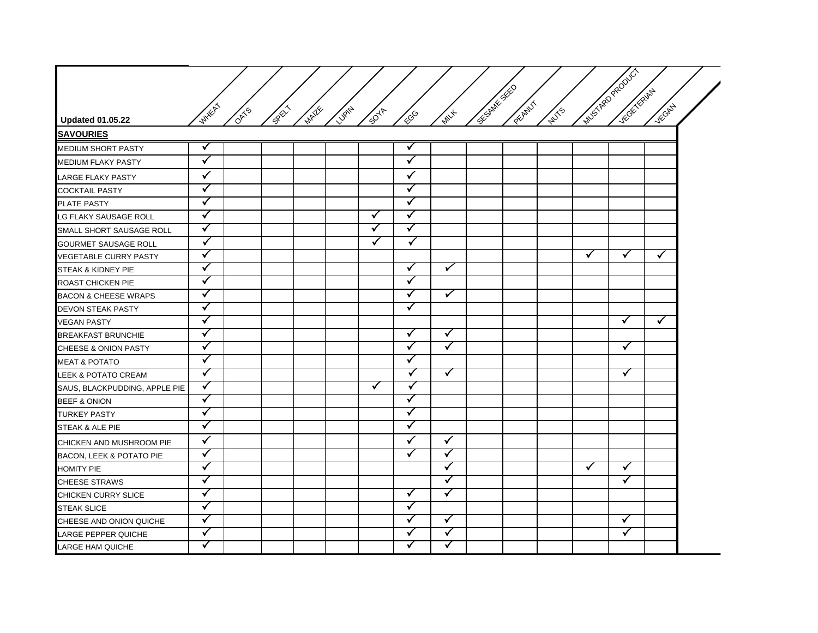| <b>Updated 01.05.22</b>         | WHEAT                | OATS | <b>CONTROLL</b> | <b>MAILE</b> | LUBITAL A | <b>SOUT</b>  | ECGO                 | <b>PAIL</b>  | <b>CE ONING SECTION</b> | <b>PECANT</b> | <b>WIVES</b> |   | Muscheo Region<br><b>INTERNATIONAL</b> | VECORY               |
|---------------------------------|----------------------|------|-----------------|--------------|-----------|--------------|----------------------|--------------|-------------------------|---------------|--------------|---|----------------------------------------|----------------------|
| <b>SAVOURIES</b>                |                      |      |                 |              |           |              |                      |              |                         |               |              |   |                                        |                      |
| MEDIUM SHORT PASTY              | ✓                    |      |                 |              |           |              | ✓                    |              |                         |               |              |   |                                        |                      |
| MEDIUM FLAKY PASTY              | $\blacktriangledown$ |      |                 |              |           |              | $\checkmark$         |              |                         |               |              |   |                                        |                      |
| <b>LARGE FLAKY PASTY</b>        | $\checkmark$         |      |                 |              |           |              | $\checkmark$         |              |                         |               |              |   |                                        |                      |
| <b>COCKTAIL PASTY</b>           | $\blacktriangledown$ |      |                 |              |           |              | $\blacktriangledown$ |              |                         |               |              |   |                                        |                      |
| PLATE PASTY                     | $\blacktriangledown$ |      |                 |              |           |              | ✓                    |              |                         |               |              |   |                                        |                      |
| LG FLAKY SAUSAGE ROLL           | $\checkmark$         |      |                 |              |           | ✓            | ✓                    |              |                         |               |              |   |                                        |                      |
| SMALL SHORT SAUSAGE ROLL        | $\checkmark$         |      |                 |              |           | $\checkmark$ | $\checkmark$         |              |                         |               |              |   |                                        |                      |
| <b>GOURMET SAUSAGE ROLL</b>     | $\checkmark$         |      |                 |              |           | $\checkmark$ | $\checkmark$         |              |                         |               |              |   |                                        |                      |
| VEGETABLE CURRY PASTY           | $\checkmark$         |      |                 |              |           |              |                      |              |                         |               |              | ✓ | $\checkmark$                           | $\blacktriangledown$ |
| STEAK & KIDNEY PIE              | $\checkmark$         |      |                 |              |           |              | ✓                    | $\checkmark$ |                         |               |              |   |                                        |                      |
| ROAST CHICKEN PIE               | $\checkmark$         |      |                 |              |           |              | ✓                    |              |                         |               |              |   |                                        |                      |
| <b>BACON &amp; CHEESE WRAPS</b> | $\checkmark$         |      |                 |              |           |              | ✓                    | $\checkmark$ |                         |               |              |   |                                        |                      |
| <b>DEVON STEAK PASTY</b>        | $\checkmark$         |      |                 |              |           |              | ✓                    |              |                         |               |              |   |                                        |                      |
| <b>VEGAN PASTY</b>              | $\checkmark$         |      |                 |              |           |              |                      |              |                         |               |              |   | $\checkmark$                           | $\checkmark$         |
| <b>BREAKFAST BRUNCHIE</b>       | $\checkmark$         |      |                 |              |           |              | $\checkmark$         | $\checkmark$ |                         |               |              |   |                                        |                      |
| <b>CHEESE &amp; ONION PASTY</b> | $\checkmark$         |      |                 |              |           |              | $\checkmark$         | $\checkmark$ |                         |               |              |   | $\checkmark$                           |                      |
| MEAT & POTATO                   | ✓                    |      |                 |              |           |              | ✓                    |              |                         |               |              |   |                                        |                      |
| <b>LEEK &amp; POTATO CREAM</b>  | $\checkmark$         |      |                 |              |           |              | $\checkmark$         | $\checkmark$ |                         |               |              |   | ✓                                      |                      |
| SAUS, BLACKPUDDING, APPLE PIE   | ✓                    |      |                 |              |           | $\checkmark$ | $\checkmark$         |              |                         |               |              |   |                                        |                      |
| BEEF & ONION                    | $\checkmark$         |      |                 |              |           |              | ✓                    |              |                         |               |              |   |                                        |                      |
| TURKEY PASTY                    | $\checkmark$         |      |                 |              |           |              | ✓                    |              |                         |               |              |   |                                        |                      |
| STEAK & ALE PIE                 | $\checkmark$         |      |                 |              |           |              | ✓                    |              |                         |               |              |   |                                        |                      |
| CHICKEN AND MUSHROOM PIE        | $\checkmark$         |      |                 |              |           |              | ✓                    | $\checkmark$ |                         |               |              |   |                                        |                      |
| BACON, LEEK & POTATO PIE        | $\checkmark$         |      |                 |              |           |              | ✓                    | $\checkmark$ |                         |               |              |   |                                        |                      |
| <b>HOMITY PIE</b>               | $\checkmark$         |      |                 |              |           |              |                      | $\checkmark$ |                         |               |              | ✓ | ✓                                      |                      |
| <b>CHEESE STRAWS</b>            | $\checkmark$         |      |                 |              |           |              |                      | $\checkmark$ |                         |               |              |   | ✓                                      |                      |
| CHICKEN CURRY SLICE             | $\checkmark$         |      |                 |              |           |              | ✓                    | ✓            |                         |               |              |   |                                        |                      |
| <b>STEAK SLICE</b>              | $\checkmark$         |      |                 |              |           |              | ✓                    |              |                         |               |              |   |                                        |                      |
| CHEESE AND ONION QUICHE         | ✓                    |      |                 |              |           |              | ✓                    | $\checkmark$ |                         |               |              |   | $\checkmark$                           |                      |
| LARGE PEPPER QUICHE             | $\checkmark$         |      |                 |              |           |              | ✓                    | $\checkmark$ |                         |               |              |   | ✓                                      |                      |
| LARGE HAM QUICHE                | ✓                    |      |                 |              |           |              | ✓                    | $\checkmark$ |                         |               |              |   |                                        |                      |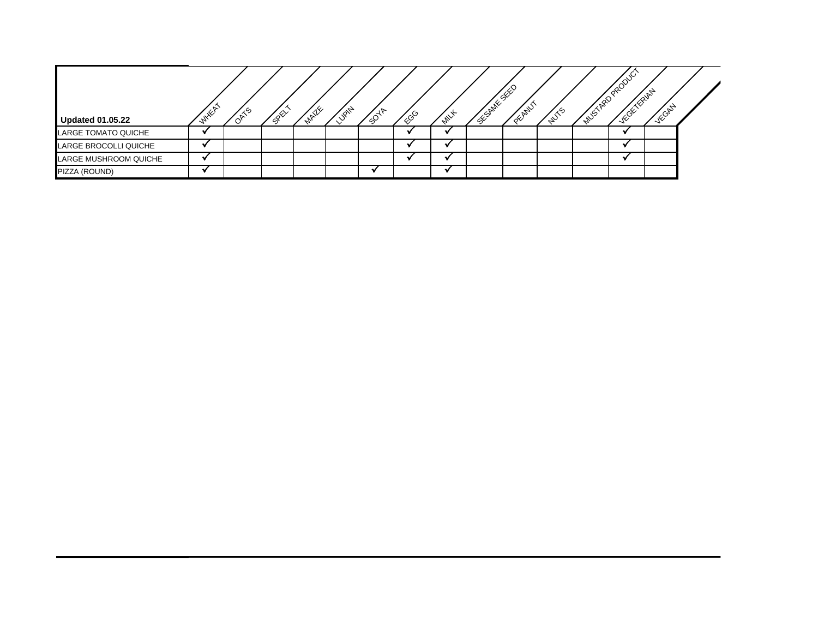| <b>Updated 01.05.22</b> | <b>WYXEA</b> | OATS | BRY | <b>MAILE</b> | <b>Vent</b> | $\sqrt{5^{4^{\aleph}}}$ | ୍ଠୃତ | <b>White</b> | Cumillation of the | <b>OFFIND</b> | <b>AUTS</b> | MASTROPEODU.<br><b>ACCELERATE</b> | VEGATY |  |
|-------------------------|--------------|------|-----|--------------|-------------|-------------------------|------|--------------|--------------------|---------------|-------------|-----------------------------------|--------|--|
| LARGE TOMATO QUICHE     |              |      |     |              |             |                         |      |              |                    |               |             |                                   |        |  |
| LARGE BROCOLLI QUICHE   |              |      |     |              |             |                         |      |              |                    |               |             |                                   |        |  |
| LARGE MUSHROOM QUICHE   |              |      |     |              |             |                         |      |              |                    |               |             |                                   |        |  |
| PIZZA (ROUND)           |              |      |     |              |             |                         |      |              |                    |               |             |                                   |        |  |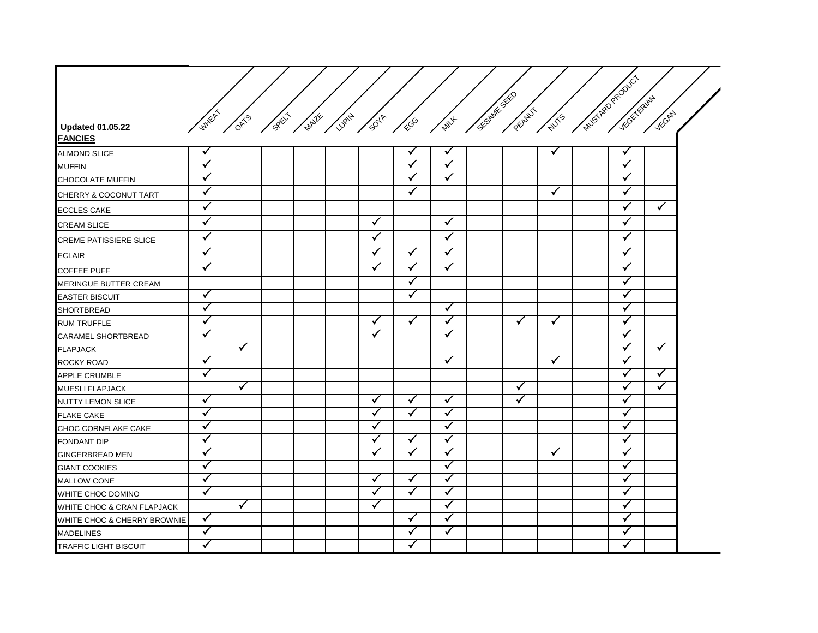|                               |                         |      |             |              |        |              |                         |              |              |               |              | MUSTAR PRODUCT |              |              |  |
|-------------------------------|-------------------------|------|-------------|--------------|--------|--------------|-------------------------|--------------|--------------|---------------|--------------|----------------|--------------|--------------|--|
|                               |                         |      |             |              |        |              |                         |              | CEC BRITISTS |               |              |                | Victor River |              |  |
|                               | <b>WHEAT</b>            |      |             |              |        |              |                         |              |              | <b>PECANT</b> |              |                |              | VECANY       |  |
| <b>Updated 01.05.22</b>       |                         | OATS | <b>SPEX</b> | <b>MAZIE</b> | LUBITY | <b>SOUT</b>  | ECGO                    | <b>MILL</b>  |              |               | <b>WITS</b>  |                |              |              |  |
| <b>FANCIES</b>                |                         |      |             |              |        |              |                         |              |              |               |              |                |              |              |  |
| <b>ALMOND SLICE</b>           | $\checkmark$            |      |             |              |        |              | $\checkmark$            |              |              |               | √            |                | $\checkmark$ |              |  |
| <b>MUFFIN</b>                 | $\checkmark$            |      |             |              |        |              | $\checkmark$            | $\checkmark$ |              |               |              |                | ✓            |              |  |
| <b>CHOCOLATE MUFFIN</b>       | $\checkmark$            |      |             |              |        |              | $\checkmark$            | $\checkmark$ |              |               |              |                | ✓            |              |  |
| CHERRY & COCONUT TART         | $\checkmark$            |      |             |              |        |              | $\checkmark$            |              |              |               | $\checkmark$ |                | $\checkmark$ |              |  |
| <b>ECCLES CAKE</b>            | ✓                       |      |             |              |        |              |                         |              |              |               |              |                | ✓            | $\checkmark$ |  |
| <b>CREAM SLICE</b>            | $\checkmark$            |      |             |              |        | $\checkmark$ |                         | $\checkmark$ |              |               |              |                | ✓            |              |  |
| <b>CREME PATISSIERE SLICE</b> | $\checkmark$            |      |             |              |        | ✓            |                         | $\checkmark$ |              |               |              |                | ✓            |              |  |
| <b>ECLAIR</b>                 | $\overline{\checkmark}$ |      |             |              |        | $\checkmark$ | $\overline{\checkmark}$ | $\checkmark$ |              |               |              |                | $\checkmark$ |              |  |
| <b>COFFEE PUFF</b>            | $\checkmark$            |      |             |              |        | $\checkmark$ | $\checkmark$            | $\checkmark$ |              |               |              |                | ✓            |              |  |
| MERINGUE BUTTER CREAM         |                         |      |             |              |        |              | $\checkmark$            |              |              |               |              |                | ✓            |              |  |
| <b>EASTER BISCUIT</b>         | $\checkmark$            |      |             |              |        |              | $\checkmark$            |              |              |               |              |                | √            |              |  |
| <b>SHORTBREAD</b>             | $\checkmark$            |      |             |              |        |              |                         | $\checkmark$ |              |               |              |                | ✓            |              |  |
| <b>RUM TRUFFLE</b>            | ✓                       |      |             |              |        | $\checkmark$ | ✓                       | √            |              | $\checkmark$  | ✓            |                | ✓            |              |  |
| CARAMEL SHORTBREAD            | ✓                       |      |             |              |        | ✓            |                         | √            |              |               |              |                | √            |              |  |
| <b>FLAPJACK</b>               |                         | ✓    |             |              |        |              |                         |              |              |               |              |                | ✓            | ✓            |  |
| ROCKY ROAD                    | $\checkmark$            |      |             |              |        |              |                         | ✓            |              |               | $\checkmark$ |                | ✓            |              |  |
| <b>APPLE CRUMBLE</b>          | ✓                       |      |             |              |        |              |                         |              |              |               |              |                | ✓            | $\checkmark$ |  |
| MUESLI FLAPJACK               |                         | ✓    |             |              |        |              |                         |              |              | $\checkmark$  |              |                | ✓            | $\checkmark$ |  |
| NUTTY LEMON SLICE             | $\checkmark$            |      |             |              |        | $\checkmark$ | ✓                       | $\checkmark$ |              | ✓             |              |                | √            |              |  |
| <b>FLAKE CAKE</b>             | $\checkmark$            |      |             |              |        | ✓            | $\checkmark$            | V            |              |               |              |                | ✔            |              |  |
| CHOC CORNFLAKE CAKE           | $\checkmark$            |      |             |              |        | ✓            |                         | $\checkmark$ |              |               |              |                | √            |              |  |
| FONDANT DIP                   | $\checkmark$            |      |             |              |        | ✓            | ✓                       | ✓            |              |               |              |                | √            |              |  |
| <b>GINGERBREAD MEN</b>        | ✓                       |      |             |              |        | ✓            | ✓                       | ✓            |              |               | ✓            |                | ✓            |              |  |
| <b>GIANT COOKIES</b>          | ✓                       |      |             |              |        |              |                         | ✓            |              |               |              |                | √            |              |  |
| <b>MALLOW CONE</b>            | ✓                       |      |             |              |        | $\checkmark$ | $\checkmark$            | √            |              |               |              |                | √            |              |  |
| WHITE CHOC DOMINO             | $\checkmark$            |      |             |              |        | $\checkmark$ | $\checkmark$            | $\checkmark$ |              |               |              |                | ✓            |              |  |
| WHITE CHOC & CRAN FLAPJACK    |                         | ✓    |             |              |        | $\checkmark$ |                         | ✓            |              |               |              |                | ✓            |              |  |
| WHITE CHOC & CHERRY BROWNIE   | $\checkmark$            |      |             |              |        |              | $\checkmark$            | ✓            |              |               |              |                | ✓            |              |  |
| <b>MADELINES</b>              | $\checkmark$            |      |             |              |        |              | $\checkmark$            | ✓            |              |               |              |                | ✓            |              |  |
| <b>TRAFFIC LIGHT BISCUIT</b>  | ✓                       |      |             |              |        |              | √                       |              |              |               |              |                | √            |              |  |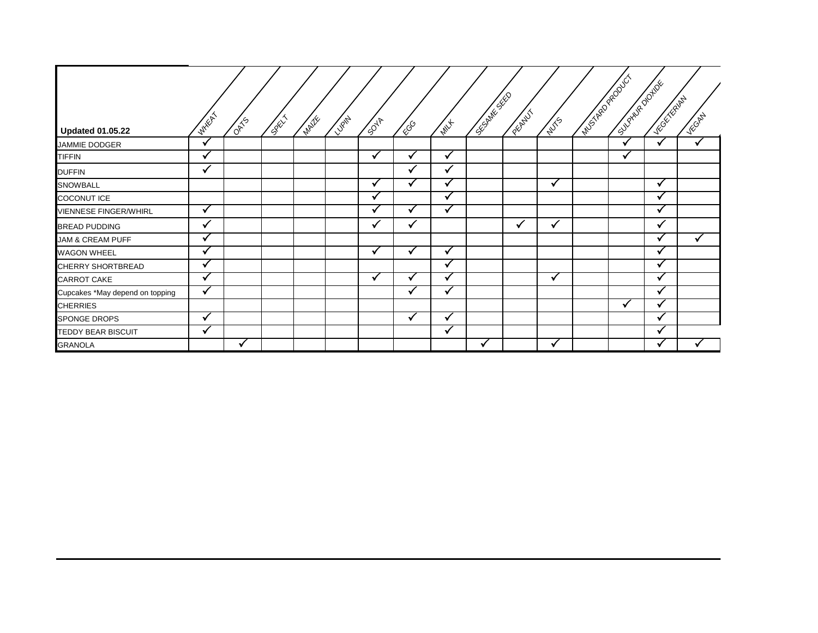|                                 | <b>WHEAT</b>         |             |             |             |               |              |              |              | <b>CENTRES</b> | <b>PERTHY!</b> |             | Muschel Road Cr | Supplier of Deptry | <b>NEGLIC RIVEL</b>  | VECANY |
|---------------------------------|----------------------|-------------|-------------|-------------|---------------|--------------|--------------|--------------|----------------|----------------|-------------|-----------------|--------------------|----------------------|--------|
| <b>Updated 01.05.22</b>         |                      | <b>OATS</b> | <b>REAT</b> | <b>MATE</b> | <b>VISANA</b> | <b>SOUT</b>  | ∕€           | <b>MAX</b>   |                |                | <b>NUTS</b> |                 |                    |                      |        |
| JAMMIE DODGER                   | ✔                    |             |             |             |               |              |              |              |                |                |             |                 | $\sim$             | ✔                    |        |
| <b>TIFFIN</b>                   | $\mathbf{v}$         |             |             |             |               | v            |              | M            |                |                |             |                 | v                  |                      |        |
| <b>DUFFIN</b>                   | 丷                    |             |             |             |               |              |              |              |                |                |             |                 |                    |                      |        |
| SNOWBALL                        |                      |             |             |             |               | $\checkmark$ |              |              |                |                | √           |                 |                    | √                    |        |
| <b>COCONUT ICE</b>              |                      |             |             |             |               | $\checkmark$ |              | $\mathbf{v}$ |                |                |             |                 |                    | $\checkmark$         |        |
| VIENNESE FINGER/WHIRL           | √                    |             |             |             |               |              | $\sim$       | w            |                |                |             |                 |                    | $\ddot{\phantom{1}}$ |        |
| <b>BREAD PUDDING</b>            | ✔                    |             |             |             |               | ✔            | ✔            |              |                | ✔              | √           |                 |                    | ✔                    |        |
| JAM & CREAM PUFF                | ✔                    |             |             |             |               |              |              |              |                |                |             |                 |                    | $\sim$               |        |
| <b>WAGON WHEEL</b>              | $\ddot{\phantom{0}}$ |             |             |             |               | M            | $\checkmark$ | √            |                |                |             |                 |                    |                      |        |
| CHERRY SHORTBREAD               | M                    |             |             |             |               |              |              | $\mathbf{v}$ |                |                |             |                 |                    | $\ddot{\phantom{1}}$ |        |
| CARROT CAKE                     | V                    |             |             |             |               | M            | ✔            |              |                |                | √           |                 |                    |                      |        |
| Cupcakes *May depend on topping | ✔                    |             |             |             |               |              |              |              |                |                |             |                 |                    |                      |        |
| <b>CHERRIES</b>                 |                      |             |             |             |               |              |              |              |                |                |             |                 | w                  |                      |        |
| <b>SPONGE DROPS</b>             | √                    |             |             |             |               |              | $\checkmark$ |              |                |                |             |                 |                    |                      |        |
| TEDDY BEAR BISCUIT              | $\mathbf{v}$         |             |             |             |               |              |              |              |                |                |             |                 |                    |                      |        |
| <b>GRANOLA</b>                  |                      |             |             |             |               |              |              |              |                |                |             |                 |                    |                      |        |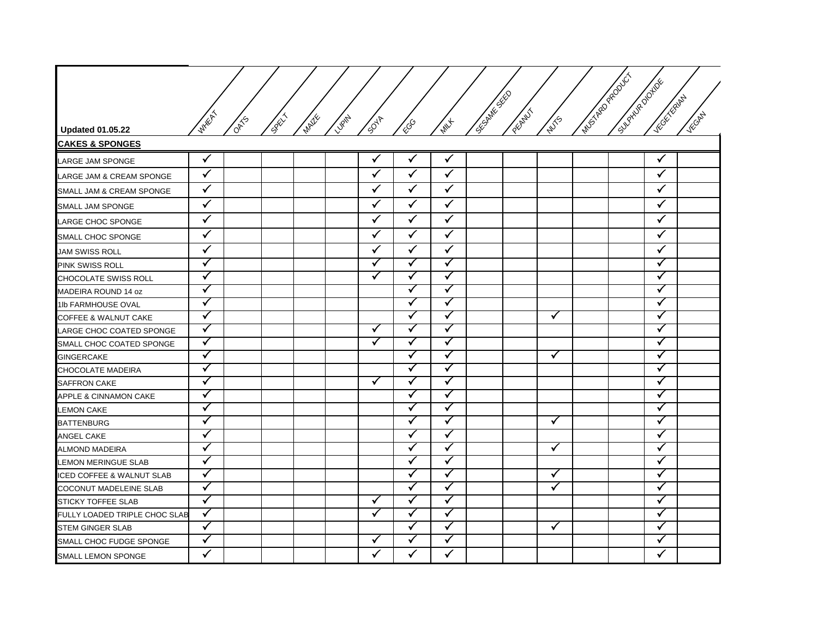| <b>Updated 01.05.22</b>          | <b>WHERE</b> | $\frac{d}{d}$ | $s^{\varphi^{\wedge}}$ | MAZIE | Lugity | <b>PUB</b>   | ECGO               | <b>MILL</b>        | Cochite River | PEANUT | <b>NUTS</b>  | Muschengenoucr | SUPPORTER | Viccock River | VECONY |
|----------------------------------|--------------|---------------|------------------------|-------|--------|--------------|--------------------|--------------------|---------------|--------|--------------|----------------|-----------|---------------|--------|
| <b>CAKES &amp; SPONGES</b>       |              |               |                        |       |        |              |                    |                    |               |        |              |                |           |               |        |
| LARGE JAM SPONGE                 | $\checkmark$ |               |                        |       |        | ✓            | $\checkmark$       | ✓                  |               |        |              |                |           |               |        |
| LARGE JAM & CREAM SPONGE         | $\checkmark$ |               |                        |       |        | $\checkmark$ | $\checkmark$       | $\checkmark$       |               |        |              |                |           | $\checkmark$  |        |
| SMALL JAM & CREAM SPONGE         | $\checkmark$ |               |                        |       |        | $\checkmark$ | $\checkmark$       | $\checkmark$       |               |        |              |                |           | $\checkmark$  |        |
| SMALL JAM SPONGE                 | ✓            |               |                        |       |        | $\checkmark$ | $\checkmark$       | $\checkmark$       |               |        |              |                |           | ✓             |        |
| LARGE CHOC SPONGE                | $\checkmark$ |               |                        |       |        | $\checkmark$ | $\checkmark$       | $\checkmark$       |               |        |              |                |           | $\checkmark$  |        |
| SMALL CHOC SPONGE                | ✓            |               |                        |       |        | $\checkmark$ | $\checkmark$       | $\checkmark$       |               |        |              |                |           | $\checkmark$  |        |
| <b>JAM SWISS ROLL</b>            | ✓            |               |                        |       |        | ✓            | $\checkmark$       | $\checkmark$       |               |        |              |                |           | $\checkmark$  |        |
| PINK SWISS ROLL                  | $\checkmark$ |               |                        |       |        | $\checkmark$ | $\checkmark$       | ✓                  |               |        |              |                |           | ✓             |        |
| CHOCOLATE SWISS ROLL             | $\checkmark$ |               |                        |       |        | ✓            | $\checkmark$       | ✓                  |               |        |              |                |           | ✓             |        |
| MADEIRA ROUND 14 oz              | $\checkmark$ |               |                        |       |        |              | $\checkmark$       | ✓                  |               |        |              |                |           | ✓             |        |
| 1lb FARMHOUSE OVAL               | ✓            |               |                        |       |        |              | $\mathbf{\hat{v}}$ | ✓                  |               |        |              |                |           | ✓             |        |
| COFFEE & WALNUT CAKE             | $\checkmark$ |               |                        |       |        |              | $\checkmark$       | ✓                  |               |        | ✓            |                |           | √             |        |
| LARGE CHOC COATED SPONGE         | ✓            |               |                        |       |        | $\checkmark$ | $\checkmark$       | ✓                  |               |        |              |                |           | ✓             |        |
| SMALL CHOC COATED SPONGE         | ✓            |               |                        |       |        | ✓            | $\checkmark$       | ✓                  |               |        |              |                |           | ✓             |        |
| <b>GINGERCAKE</b>                | $\checkmark$ |               |                        |       |        |              | $\checkmark$       | ✓                  |               |        | ✓            |                |           | ✓             |        |
| CHOCOLATE MADEIRA                | ✓            |               |                        |       |        |              | $\checkmark$       | ✓                  |               |        |              |                |           | $\checkmark$  |        |
| <b>SAFFRON CAKE</b>              | $\checkmark$ |               |                        |       |        | ✓            | $\checkmark$       | ✓                  |               |        |              |                |           | ✓             |        |
| <b>APPLE &amp; CINNAMON CAKE</b> | $\checkmark$ |               |                        |       |        |              | $\checkmark$       | ✓                  |               |        |              |                |           | ✓             |        |
| <b>LEMON CAKE</b>                | $\checkmark$ |               |                        |       |        |              | $\checkmark$       | ✓                  |               |        |              |                |           | ✓             |        |
| <b>BATTENBURG</b>                | $\checkmark$ |               |                        |       |        |              | $\checkmark$       | ✓                  |               |        | $\checkmark$ |                |           | ✓             |        |
| ANGEL CAKE                       | $\checkmark$ |               |                        |       |        |              | $\checkmark$       | ✓                  |               |        |              |                |           | √             |        |
| <b>ALMOND MADEIRA</b>            | $\checkmark$ |               |                        |       |        |              | $\checkmark$       | ✓                  |               |        | ✓            |                |           | $\checkmark$  |        |
| LEMON MERINGUE SLAB              | $\checkmark$ |               |                        |       |        |              | $\checkmark$       | ✓                  |               |        |              |                |           | √             |        |
| ICED COFFEE & WALNUT SLAB        | $\checkmark$ |               |                        |       |        |              | $\checkmark$       | ✓                  |               |        | ✓            |                |           | √             |        |
| COCONUT MADELEINE SLAB           | $\checkmark$ |               |                        |       |        |              | $\checkmark$       | ✓                  |               |        | ✓            |                |           | √             |        |
| STICKY TOFFEE SLAB               | $\checkmark$ |               |                        |       |        | $\checkmark$ | $\checkmark$       | ✓                  |               |        |              |                |           | √             |        |
| FULLY LOADED TRIPLE CHOC SLAB    | $\checkmark$ |               |                        |       |        | $\checkmark$ | $\checkmark$       | ✓                  |               |        |              |                |           | √             |        |
| <b>STEM GINGER SLAB</b>          | $\checkmark$ |               |                        |       |        |              | $\checkmark$       | ✓                  |               |        | ✓            |                |           | √             |        |
| SMALL CHOC FUDGE SPONGE          | $\checkmark$ |               |                        |       |        | $\checkmark$ | $\checkmark$       | $\mathbf{\hat{v}}$ |               |        |              |                |           | $\checkmark$  |        |
| SMALL LEMON SPONGE               | $\checkmark$ |               |                        |       |        | $\checkmark$ | $\checkmark$       | $\checkmark$       |               |        |              |                |           | $\checkmark$  |        |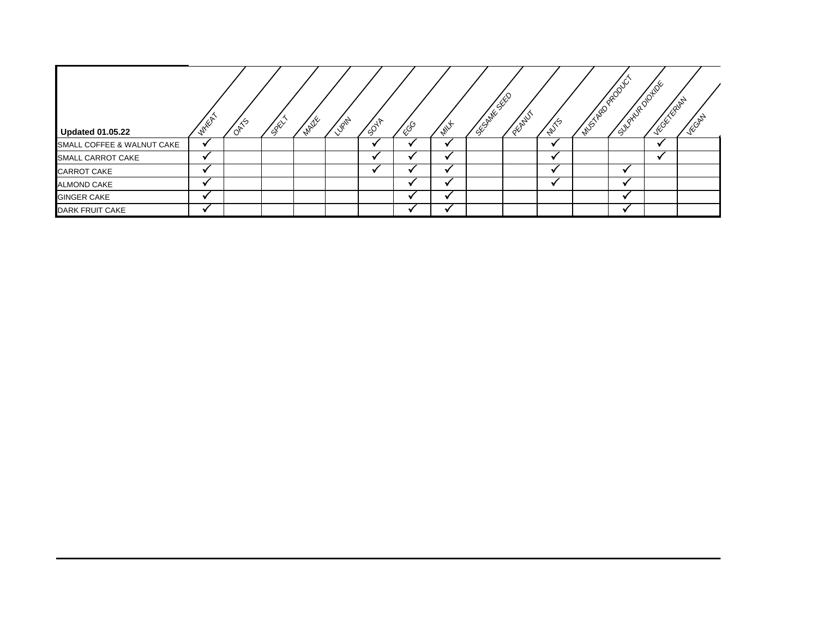| <b>Updated 01.05.22</b>    | <b>WHEA</b> | 0415 | CREW | <b>MAZZE</b> | 118/11 | 5047 | ∕ूऽ | <b>MILL</b> | <b>CANNA SEP</b> | <b>COLLAN</b> | 2015 | IMAS ARD PRODUCT | SURVEYORD WAY | <b>NEGELARITY</b> | <b>WORLD</b> |
|----------------------------|-------------|------|------|--------------|--------|------|-----|-------------|------------------|---------------|------|------------------|---------------|-------------------|--------------|
| SMALL COFFEE & WALNUT CAKE |             |      |      |              |        |      |     |             |                  |               |      |                  |               |                   |              |
| SMALL CARROT CAKE          |             |      |      |              |        |      |     |             |                  |               |      |                  |               |                   |              |
| <b>CARROT CAKE</b>         |             |      |      |              |        |      |     |             |                  |               |      |                  |               |                   |              |
| <b>ALMOND CAKE</b>         |             |      |      |              |        |      |     |             |                  |               |      |                  |               |                   |              |
| <b>GINGER CAKE</b>         |             |      |      |              |        |      |     |             |                  |               |      |                  |               |                   |              |
| <b>DARK FRUIT CAKE</b>     |             |      |      |              |        |      |     |             |                  |               |      |                  |               |                   |              |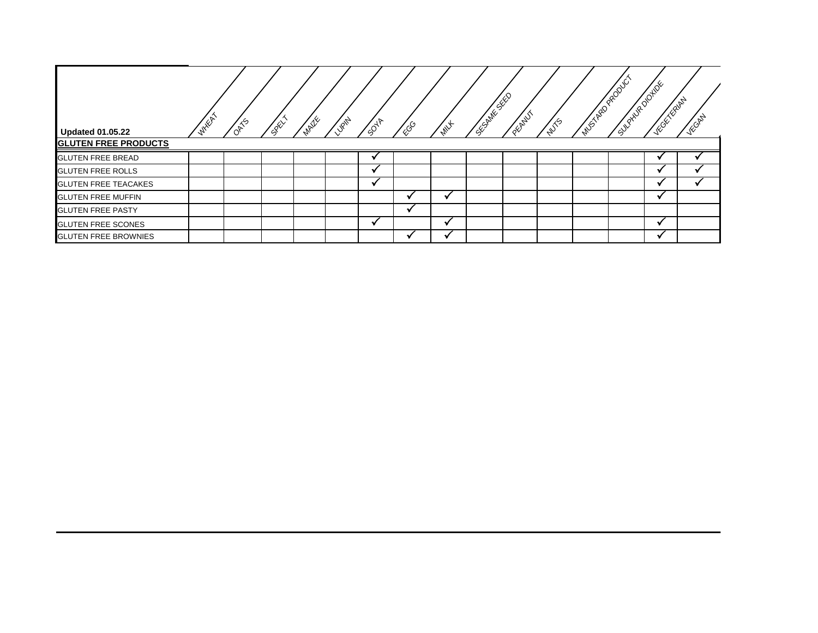| <b>Updated 01.05.22</b>     | <b>WHEAT</b> | <b>OATS</b> | <b>SREA</b> | <b>MAILE</b> | <b>VIRIN</b> | 5048 | ৻ৣ৾ড় | wh | <b>SECRITE SEE</b> | OFFALLY | <b>NUTS</b> | MASTRO PRODUCT | SUCCIUS DONDE | <b>ACCELLE AND</b> | VEORD |
|-----------------------------|--------------|-------------|-------------|--------------|--------------|------|-------|----|--------------------|---------|-------------|----------------|---------------|--------------------|-------|
| <b>GLUTEN FREE PRODUCTS</b> |              |             |             |              |              |      |       |    |                    |         |             |                |               |                    |       |
| <b>GLUTEN FREE BREAD</b>    |              |             |             |              |              |      |       |    |                    |         |             |                |               |                    |       |
| <b>GLUTEN FREE ROLLS</b>    |              |             |             |              |              |      |       |    |                    |         |             |                |               |                    |       |
| <b>GLUTEN FREE TEACAKES</b> |              |             |             |              |              |      |       |    |                    |         |             |                |               |                    |       |
| <b>GLUTEN FREE MUFFIN</b>   |              |             |             |              |              |      |       |    |                    |         |             |                |               |                    |       |
| <b>GLUTEN FREE PASTY</b>    |              |             |             |              |              |      |       |    |                    |         |             |                |               |                    |       |
| <b>GLUTEN FREE SCONES</b>   |              |             |             |              |              |      |       |    |                    |         |             |                |               |                    |       |
| <b>GLUTEN FREE BROWNIES</b> |              |             |             |              |              |      |       |    |                    |         |             |                |               |                    |       |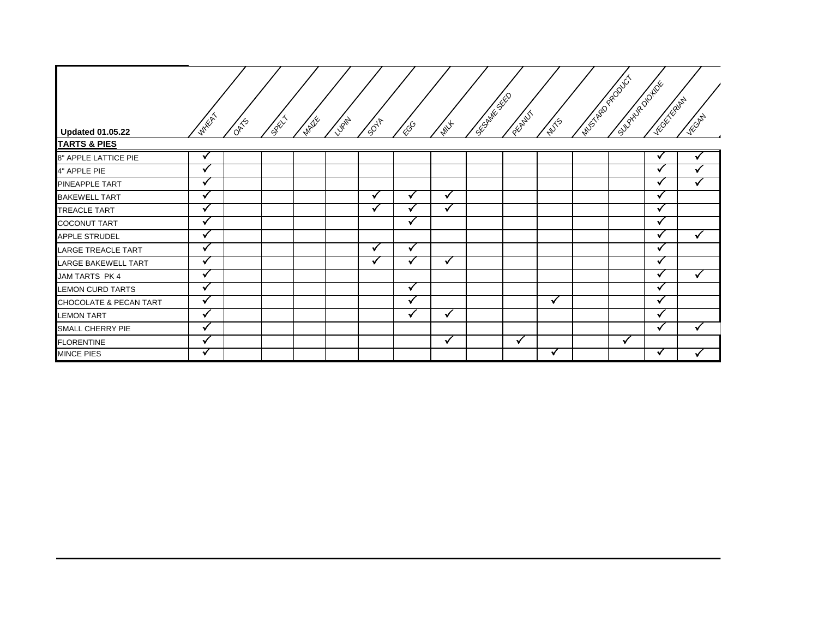| <b>Updated 01.05.22</b> | <b>WHEAT</b>         | <b>OATS</b> | CREW | <b>MAZE</b> | <b>LUBITA</b> | 5047 | <b>ESS</b> | <b>MAY</b> | C.S.C. And C.S. | PEOPLET | <b>NUTS</b>  | <b>MUSTAR PRODUCT</b> | Supplier of the | <b>WESTERNALL</b>       | VECAN        |
|-------------------------|----------------------|-------------|------|-------------|---------------|------|------------|------------|-----------------|---------|--------------|-----------------------|-----------------|-------------------------|--------------|
| <b>TARTS &amp; PIES</b> |                      |             |      |             |               |      |            |            |                 |         |              |                       |                 |                         |              |
| 8" APPLE LATTICE PIE    | V                    |             |      |             |               |      |            |            |                 |         |              |                       |                 | $\overline{\mathbf{v}}$ |              |
| 4" APPLE PIE            | M                    |             |      |             |               |      |            |            |                 |         |              |                       |                 |                         |              |
| PINEAPPLE TART          | $\ddot{\phantom{0}}$ |             |      |             |               |      |            |            |                 |         |              |                       |                 | $\bullet$               | ✓            |
| <b>BAKEWELL TART</b>    | √                    |             |      |             |               |      |            |            |                 |         |              |                       |                 | √                       |              |
| TREACLE TART            | √                    |             |      |             |               | M    |            | √          |                 |         |              |                       |                 | M                       |              |
| COCONUT TART            | $\checkmark$         |             |      |             |               |      | ✓          |            |                 |         |              |                       |                 | $\checkmark$            |              |
| APPLE STRUDEL           | $\ddot{\phantom{1}}$ |             |      |             |               |      |            |            |                 |         |              |                       |                 |                         | $\checkmark$ |
| LARGE TREACLE TART      | √                    |             |      |             |               |      | ✓          |            |                 |         |              |                       |                 |                         |              |
| LARGE BAKEWELL TART     | $\checkmark$         |             |      |             |               | V    | v          | ✔          |                 |         |              |                       |                 | √                       |              |
| JAM TARTS PK 4          | M                    |             |      |             |               |      |            |            |                 |         |              |                       |                 |                         | ✓            |
| <b>LEMON CURD TARTS</b> | $\ddot{\phantom{1}}$ |             |      |             |               |      | √          |            |                 |         |              |                       |                 | v                       |              |
| CHOCOLATE & PECAN TART  | $\checkmark$         |             |      |             |               |      |            |            |                 |         | $\checkmark$ |                       |                 | $\checkmark$            |              |
| <b>LEMON TART</b>       | $\ddot{\phantom{0}}$ |             |      |             |               |      |            | ✓          |                 |         |              |                       |                 |                         |              |
| SMALL CHERRY PIE        | $\mathbf{v}$         |             |      |             |               |      |            |            |                 |         |              |                       |                 |                         | $\checkmark$ |
| <b>FLORENTINE</b>       | √                    |             |      |             |               |      |            | ✔          |                 |         |              |                       | √               |                         |              |
| MINCE PIES              | v                    |             |      |             |               |      |            |            |                 |         | $\checkmark$ |                       |                 | ✔                       |              |

Е